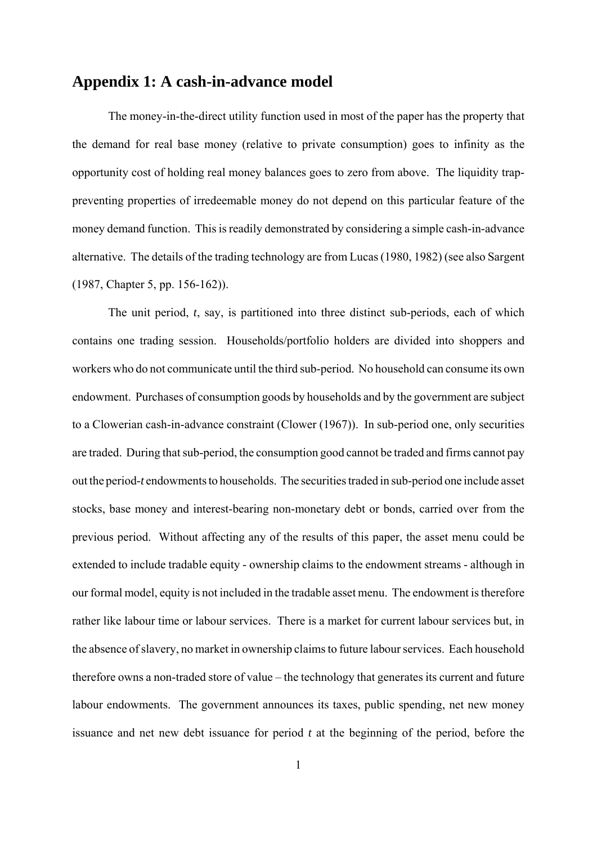## **Appendix 1: A cash-in-advance model**

The money-in-the-direct utility function used in most of the paper has the property that the demand for real base money (relative to private consumption) goes to infinity as the opportunity cost of holding real money balances goes to zero from above. The liquidity trappreventing properties of irredeemable money do not depend on this particular feature of the money demand function. This is readily demonstrated by considering a simple cash-in-advance alternative. The details of the trading technology are from Lucas (1980, 1982) (see also Sargent (1987, Chapter 5, pp. 156-162)).

The unit period, *t*, say, is partitioned into three distinct sub-periods, each of which contains one trading session. Households/portfolio holders are divided into shoppers and workers who do not communicate until the third sub-period. No household can consume its own endowment. Purchases of consumption goods by households and by the government are subject to a Clowerian cash-in-advance constraint (Clower (1967)). In sub-period one, only securities are traded. During that sub-period, the consumption good cannot be traded and firms cannot pay out the period-*t* endowments to households. The securities traded in sub-period one include asset stocks, base money and interest-bearing non-monetary debt or bonds, carried over from the previous period. Without affecting any of the results of this paper, the asset menu could be extended to include tradable equity - ownership claims to the endowment streams - although in our formal model, equity is not included in the tradable asset menu. The endowment is therefore rather like labour time or labour services. There is a market for current labour services but, in the absence of slavery, no market in ownership claims to future labour services. Each household therefore owns a non-traded store of value – the technology that generates its current and future labour endowments. The government announces its taxes, public spending, net new money issuance and net new debt issuance for period *t* at the beginning of the period, before the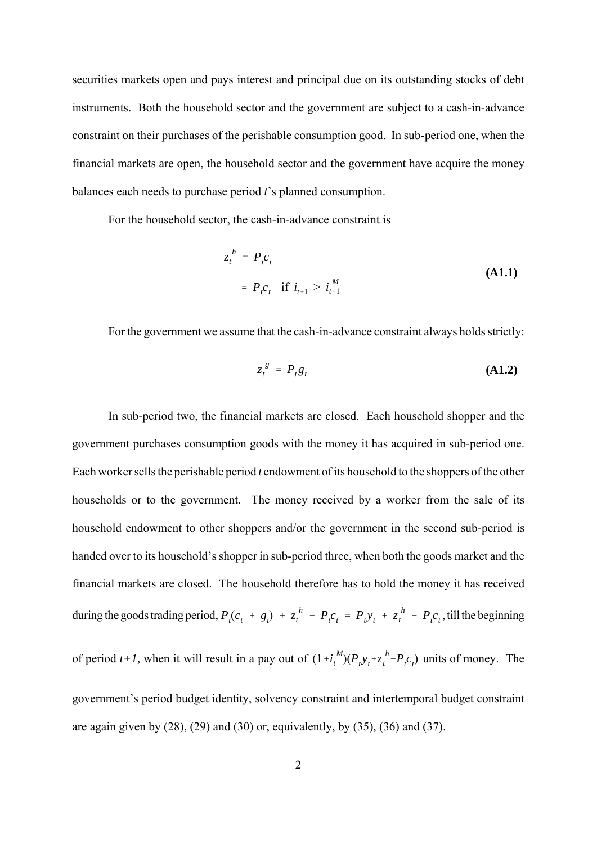securities markets open and pays interest and principal due on its outstanding stocks of debt instruments. Both the household sector and the government are subject to a cash-in-advance constraint on their purchases of the perishable consumption good. In sub-period one, when the financial markets are open, the household sector and the government have acquire the money balances each needs to purchase period *t*'s planned consumption.

For the household sector, the cash-in-advance constraint is

$$
z_t^h = P_t c_t
$$
  
=  $P_t c_t$  if  $i_{t+1} > i_{t+1}^M$  (A1.1)

For the government we assume that the cash-in-advance constraint always holds strictly:

$$
z_t^g = P_t g_t \tag{A1.2}
$$

In sub-period two, the financial markets are closed. Each household shopper and the government purchases consumption goods with the money it has acquired in sub-period one. Each worker sells the perishable period *t* endowment of its household to the shoppers of the other households or to the government. The money received by a worker from the sale of its household endowment to other shoppers and/or the government in the second sub-period is handed over to its household's shopper in sub-period three, when both the goods market and the financial markets are closed. The household therefore has to hold the money it has received during the goods trading period,  $P_t(c_t + g_t) + z_t^h - P_t c_t = P_t y_t + z_t^h - P_t c_t$ , till the beginning of period *t*+*I*, when it will result in a pay out of  $(1 + i_t^M)(P_t y_t + z_t^h - P_t c_t)$  units of money. The government's period budget identity, solvency constraint and intertemporal budget constraint are again given by  $(28)$ ,  $(29)$  and  $(30)$  or, equivalently, by  $(35)$ ,  $(36)$  and  $(37)$ .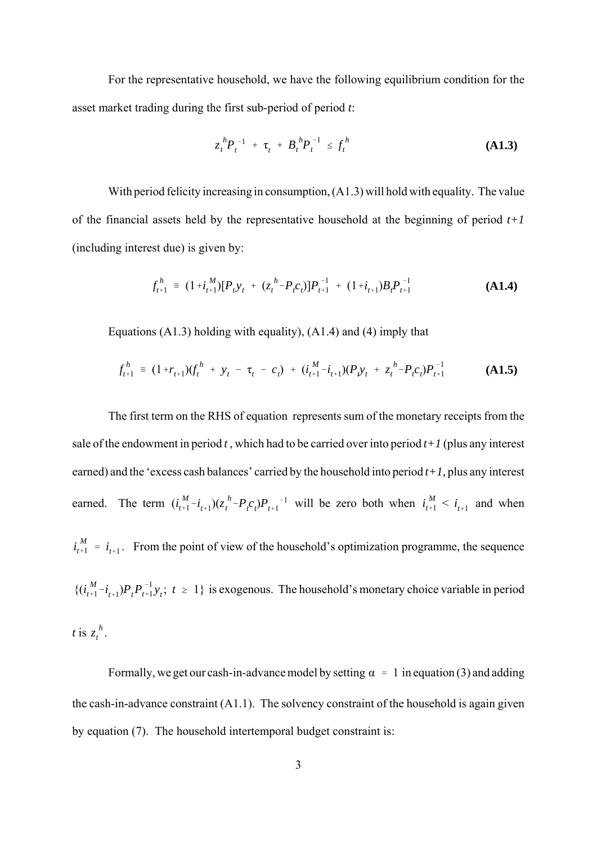For the representative household, we have the following equilibrium condition for the asset market trading during the first sub-period of period *t*:

$$
z_t^{\,h} P_t^{\,-1} + \tau_t^{\phantom{t}} + B_t^{\,h} P_t^{\,-1} \leq f_t^{\,h} \tag{A1.3}
$$

With period felicity increasing in consumption, (A1.3) will hold with equality. The value of the financial assets held by the representative household at the beginning of period *t+1* (including interest due) is given by:

$$
f_{t+1}^h = (1 + i_{t+1}^M)[P_t y_t + (z_t^h - P_t c_t)]P_{t+1}^{-1} + (1 + i_{t+1})B_t P_{t+1}^{-1}
$$
(A1.4)

Equations (A1.3) holding with equality), (A1.4) and (4) imply that

$$
f_{t+1}^h = (1+r_{t+1})(f_t^h + y_t - \tau_t - c_t) + (i_{t+1}^M - i_{t+1})(P_t y_t + z_t^h - P_t c_t)P_{t+1}^{-1}
$$
(A1.5)

The first term on the RHS of equation represents sum of the monetary receipts from the sale of the endowment in period  $t$ , which had to be carried over into period  $t+1$  (plus any interest earned) and the 'excess cash balances' carried by the household into period *t+1,* plus any interest earned. The term  $(i_{t+1}^M - i_{t+1})(z_t^h - P_t c_t)P_{t+1}^{-1}$  will be zero both when  $i_{t+1}^M < i_{t+1}$  and when  $i_{t+1}^M = i_{t+1}$ . From the point of view of the household's optimization programme, the sequence  $\{(i_{t+1}^M - i_{t+1})P_tP_{t+1}^{-1}y_t; t \ge 1\}$  is exogenous. The household's monetary choice variable in period *t* is  $z_t^h$ . *t*

Formally, we get our cash-in-advance model by setting  $\alpha = 1$  in equation (3) and adding the cash-in-advance constraint (A1.1). The solvency constraint of the household is again given by equation (7). The household intertemporal budget constraint is: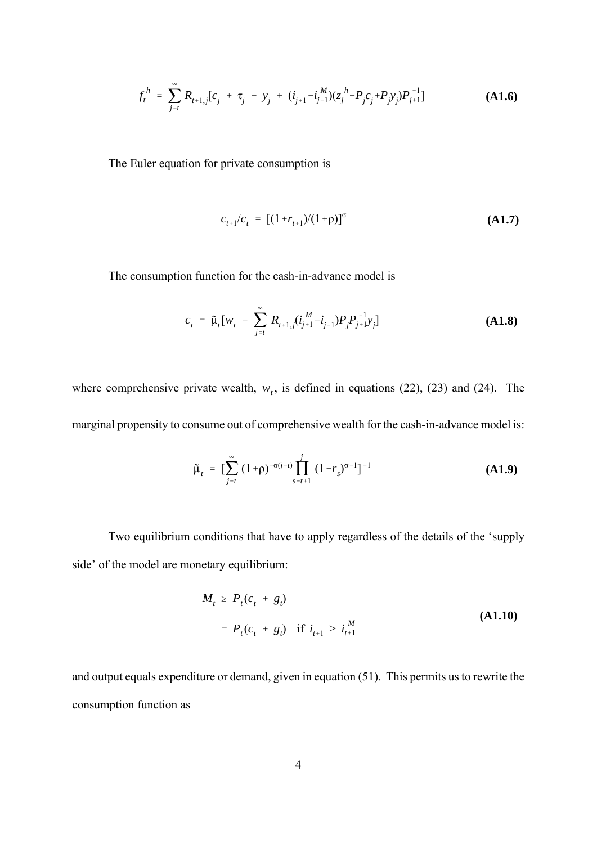$$
f_t^h = \sum_{j=t}^{\infty} R_{t+1,j} [c_j + \tau_j - y_j + (i_{j+1} - i_{j+1}^M)(z_j^h - P_j c_j + P_j y_j) P_{j+1}^{-1}]
$$
\n(A1.6)

The Euler equation for private consumption is

$$
c_{t+1}/c_t = [(1+r_{t+1})/(1+\rho)]^{\sigma}
$$
 (A1.7)

The consumption function for the cash-in-advance model is

$$
c_{t} = \tilde{\mu}_{t}[w_{t} + \sum_{j=t}^{\infty} R_{t+1,j}(i_{j+1}^{M} - i_{j+1})P_{j}P_{j+1}^{-1}y_{j}]
$$
\n(A1.8)

where comprehensive private wealth,  $w_t$ , is defined in equations (22), (23) and (24). The marginal propensity to consume out of comprehensive wealth for the cash-in-advance model is:

$$
\tilde{\mu}_t = \left[ \sum_{j=t}^{\infty} (1+\rho)^{-\sigma(j-t)} \prod_{s=t+1}^{j} (1+r_s)^{\sigma-1} \right]^{-1}
$$
\n(A1.9)

Two equilibrium conditions that have to apply regardless of the details of the 'supply side' of the model are monetary equilibrium:

$$
M_{t} \ge P_{t}(c_{t} + g_{t})
$$
  
=  $P_{t}(c_{t} + g_{t})$  if  $i_{t+1} > i_{t+1}^{M}$  (A1.10)

and output equals expenditure or demand, given in equation (51). This permits us to rewrite the consumption function as